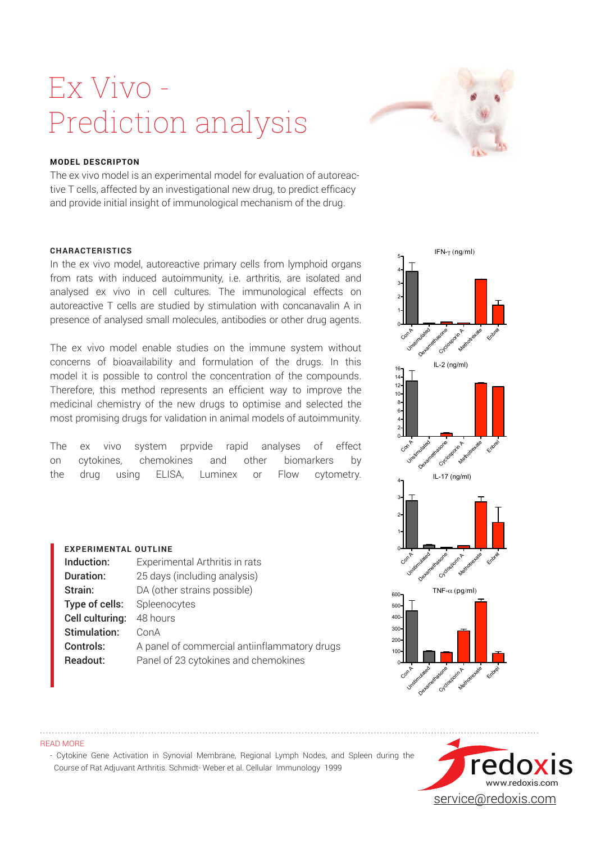## Ex Vivo - Prediction analysis



IFN-γ (ng/ml)

5

## **MODEL DESCRIPTON**

The ex vivo model is an experimental model for evaluation of autoreactive T cells, affected by an investigational new drug, to predict efficacy and provide initial insight of immunological mechanism of the drug.

### **CHARACTERISTICS**

In the ex vivo model, autoreactive primary cells from lymphoid organs from rats with induced autoimmunity, i.e. arthritis, are isolated and analysed ex vivo in cell cultures. The immunological effects on autoreactive T cells are studied by stimulation with concanavalin A in presence of analysed small molecules, antibodies or other drug agents.

The ex vivo model enable studies on the immune system without concerns of bioavailability and formulation of the drugs. In this model it is possible to control the concentration of the compounds. Therefore, this method represents an efficient way to improve the medicinal chemistry of the new drugs to optimise and selected the most promising drugs for validation in animal models of autoimmunity.

The ex vivo system prpvide rapid analyses of effect on cytokines, chemokines and other biomarkers by the drug using ELISA, Luminex or Flow cytometry.

**Controls:** A panel of commercial antiinflammatory drugs

**Readout:** Panel of 23 cytokines and chemokines

### Con A unstimulated Nexted Bandagoon A Metrodexe Enbre 0 1 2 3 4 IL-2 (ng/ml) Con A unstimulated Dexamethasone Cyclosporin A Metrotrexate Enbre 0 2 4 6 8  $10 -$ 12 14 16 IL-17 (ng/ml) Con A unstimulated Dexametrasone Cyclosporin A Metrotrexate Enbre 0 1 2 3 4 TNF-α (pg/ml) Con A unstimulated Dexametrasone Cyclosporin A Metrotrexate Enbre 0 100  $200$  $300$  $40<sub>0</sub>$ 500 600



**EXPERIMENTAL OUTLINE** 

Type of cells: Spleenocytes Cell culturing: 48 hours Stimulation: ConA

**Induction:** Experimental Arthritis in rats **Duration:** 25 days (including analysis) Strain: DA (other strains possible)

READ MORE

- Cytokine Gene Activation in Synovial Membrane, Regional Lymph Nodes, and Spleen during the Course of Rat Adjuvant Arthritis. Schmidt-‐Weber et al. Cellular Immunology 1999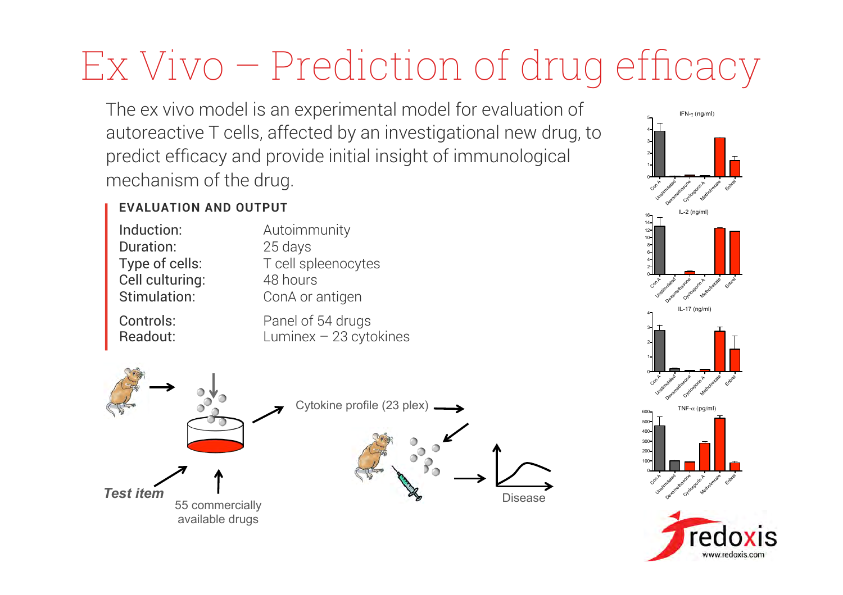# Ex Vivo – Prediction of drug efficacy

The ex vivo model is an experimental model for evaluation of autoreactive T cells, affected by an investigational new drug, to predict efficacy and provide initial insight of immunological mechanism of the drug.

## **EVALUATION AND OUTPUT**

| Induction:      | Autoimmunity        |
|-----------------|---------------------|
| Duration:       | 25 days             |
| Type of cells:  | T cell spleenocytes |
| Cell culturing: | 48 hours            |
| Stimulation:    | ConA or antigen     |
|                 |                     |

Readout: Luminex – 23 cytokines

Controls: Panel of 54 drugs